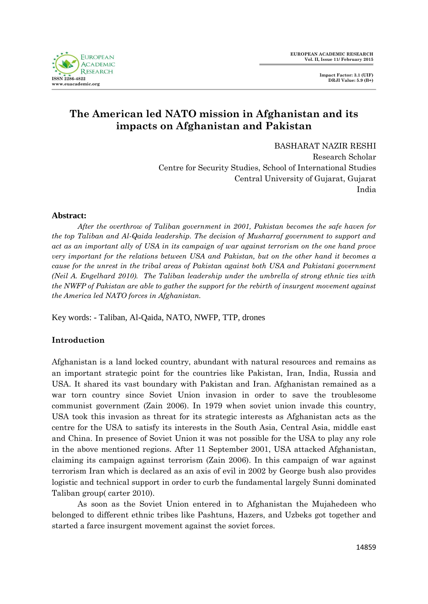

# **The American led NATO mission in Afghanistan and its impacts on Afghanistan and Pakistan**

BASHARAT NAZIR RESHI

Research Scholar Centre for Security Studies, School of International Studies Central University of Gujarat, Gujarat India

### **Abstract:**

*After the overthrow of Taliban government in 2001, Pakistan becomes the safe haven for the top Taliban and Al-Qaida leadership. The decision of Musharraf government to support and act as an important ally of USA in its campaign of war against terrorism on the one hand prove very important for the relations between USA and Pakistan, but on the other hand it becomes a cause for the unrest in the tribal areas of Pakistan against both USA and Pakistani government (Neil A. Engelhard 2010). The Taliban leadership under the umbrella of strong ethnic ties with the NWFP of Pakistan are able to gather the support for the rebirth of insurgent movement against the America led NATO forces in Afghanistan.* 

Key words: - Taliban, Al-Qaida, NATO, NWFP, TTP, drones

### **Introduction**

Afghanistan is a land locked country, abundant with natural resources and remains as an important strategic point for the countries like Pakistan, Iran, India, Russia and USA. It shared its vast boundary with Pakistan and Iran. Afghanistan remained as a war torn country since Soviet Union invasion in order to save the troublesome communist government (Zain 2006). In 1979 when soviet union invade this country, USA took this invasion as threat for its strategic interests as Afghanistan acts as the centre for the USA to satisfy its interests in the South Asia, Central Asia, middle east and China. In presence of Soviet Union it was not possible for the USA to play any role in the above mentioned regions. After 11 September 2001, USA attacked Afghanistan, claiming its campaign against terrorism (Zain 2006). In this campaign of war against terrorism Iran which is declared as an axis of evil in 2002 by George bush also provides logistic and technical support in order to curb the fundamental largely Sunni dominated Taliban group( carter 2010).

As soon as the Soviet Union entered in to Afghanistan the Mujahedeen who belonged to different ethnic tribes like Pashtuns, Hazers, and Uzbeks got together and started a farce insurgent movement against the soviet forces.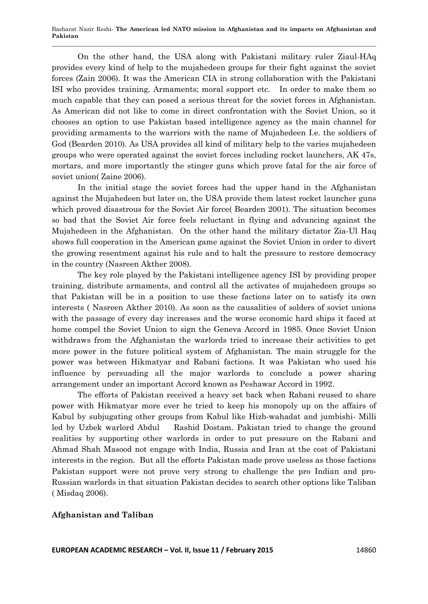Basharat Nazir Reshi*-* **The American led NATO mission in Afghanistan and its impacts on Afghanistan and Pakistan**

On the other hand, the USA along with Pakistani military ruler Ziaul-HAq provides every kind of help to the mujahedeen groups for their fight against the soviet forces (Zain 2006). It was the American CIA in strong collaboration with the Pakistani ISI who provides training, Armaments; moral support etc. In order to make them so much capable that they can posed a serious threat for the soviet forces in Afghanistan. As American did not like to come in direct confrontation with the Soviet Union, so it chooses an option to use Pakistan based intelligence agency as the main channel for providing armaments to the warriors with the name of Mujahedeen I.e. the soldiers of God (Bearden 2010). As USA provides all kind of military help to the varies mujahedeen groups who were operated against the soviet forces including rocket launchers, AK 47s, mortars, and more importantly the stinger guns which prove fatal for the air force of soviet union( Zaine 2006).

In the initial stage the soviet forces had the upper hand in the Afghanistan against the Mujahedeen but later on, the USA provide them latest rocket launcher guns which proved disastrous for the Soviet Air force( Bearden 2001). The situation becomes so bad that the Soviet Air force feels reluctant in flying and advancing against the Mujahedeen in the Afghanistan. On the other hand the military dictator Zia-Ul Haq shows full cooperation in the American game against the Soviet Union in order to divert the growing resentment against his rule and to halt the pressure to restore democracy in the country (Nasreen Akther 2008).

The key role played by the Pakistani intelligence agency ISI by providing proper training, distribute armaments, and control all the activates of mujahedeen groups so that Pakistan will be in a position to use these factions later on to satisfy its own interests ( Nasreen Akther 2010). As soon as the causalities of solders of soviet unions with the passage of every day increases and the worse economic hard ships it faced at home compel the Soviet Union to sign the Geneva Accord in 1985. Once Soviet Union withdraws from the Afghanistan the warlords tried to increase their activities to get more power in the future political system of Afghanistan. The main struggle for the power was between Hikmatyar and Rabani factions. It was Pakistan who used his influence by persuading all the major warlords to conclude a power sharing arrangement under an important Accord known as Peshawar Accord in 1992.

The efforts of Pakistan received a heavy set back when Rabani reused to share power with Hikmatyar more ever he tried to keep his monopoly up on the affairs of Kabul by subjugating other groups from Kabul like Hizb-wahadat and jumbishi- Milli led by Uzbek warlord Abdul Rashid Dostam. Pakistan tried to change the ground realities by supporting other warlords in order to put pressure on the Rabani and Ahmad Shah Masood not engage with India, Russia and Iran at the cost of Pakistani interests in the region. But all the efforts Pakistan made prove useless as those factions Pakistan support were not prove very strong to challenge the pro Indian and pro-Russian warlords in that situation Pakistan decides to search other options like Taliban ( Misdaq 2006).

#### **Afghanistan and Taliban**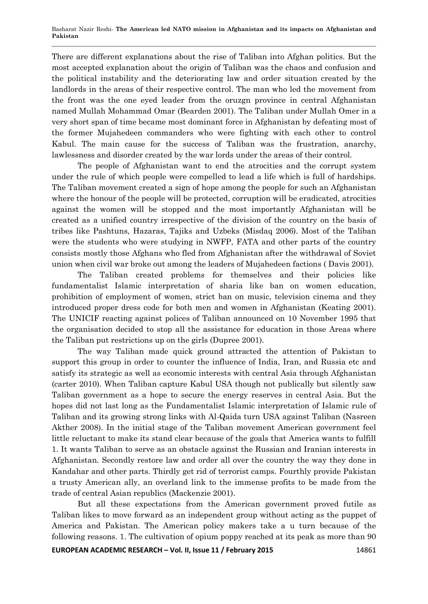There are different explanations about the rise of Taliban into Afghan politics. But the most accepted explanation about the origin of Taliban was the chaos and confusion and the political instability and the deteriorating law and order situation created by the landlords in the areas of their respective control. The man who led the movement from the front was the one eyed leader from the oruzgn province in central Afghanistan named Mullah Mohammad Omar (Bearden 2001). The Taliban under Mullah Omer in a very short span of time became most dominant force in Afghanistan by defeating most of the former Mujahedeen commanders who were fighting with each other to control Kabul. The main cause for the success of Taliban was the frustration, anarchy, lawlessness and disorder created by the war lords under the areas of their control.

The people of Afghanistan want to end the atrocities and the corrupt system under the rule of which people were compelled to lead a life which is full of hardships. The Taliban movement created a sign of hope among the people for such an Afghanistan where the honour of the people will be protected, corruption will be eradicated, atrocities against the women will be stopped and the most importantly Afghanistan will be created as a unified country irrespective of the division of the country on the basis of tribes like Pashtuns, Hazaras, Tajiks and Uzbeks (Misdaq 2006). Most of the Taliban were the students who were studying in NWFP, FATA and other parts of the country consists mostly those Afghans who fled from Afghanistan after the withdrawal of Soviet union when civil war broke out among the leaders of Mujahedeen factions ( Davis 2001).

The Taliban created problems for themselves and their policies like fundamentalist Islamic interpretation of sharia like ban on women education, prohibition of employment of women, strict ban on music, television cinema and they introduced proper dress code for both men and women in Afghanistan (Keating 2001). The UNICIF reacting against polices of Taliban announced on 10 November 1995 that the organisation decided to stop all the assistance for education in those Areas where the Taliban put restrictions up on the girls (Dupree 2001).

The way Taliban made quick ground attracted the attention of Pakistan to support this group in order to counter the influence of India, Iran, and Russia etc and satisfy its strategic as well as economic interests with central Asia through Afghanistan (carter 2010). When Taliban capture Kabul USA though not publically but silently saw Taliban government as a hope to secure the energy reserves in central Asia. But the hopes did not last long as the Fundamentalist Islamic interpretation of Islamic rule of Taliban and its growing strong links with Al-Qaida turn USA against Taliban (Nasreen Akther 2008). In the initial stage of the Taliban movement American government feel little reluctant to make its stand clear because of the goals that America wants to fulfill 1. It wants Taliban to serve as an obstacle against the Russian and Iranian interests in Afghanistan. Secondly restore law and order all over the country the way they done in Kandahar and other parts. Thirdly get rid of terrorist camps. Fourthly provide Pakistan a trusty American ally, an overland link to the immense profits to be made from the trade of central Asian republics (Mackenzie 2001).

But all these expectations from the American government proved futile as Taliban likes to move forward as an independent group without acting as the puppet of America and Pakistan. The American policy makers take a u turn because of the following reasons. 1. The cultivation of opium poppy reached at its peak as more than 90

**EUROPEAN ACADEMIC RESEARCH – Vol. II, Issue 11 / February 2015** 14861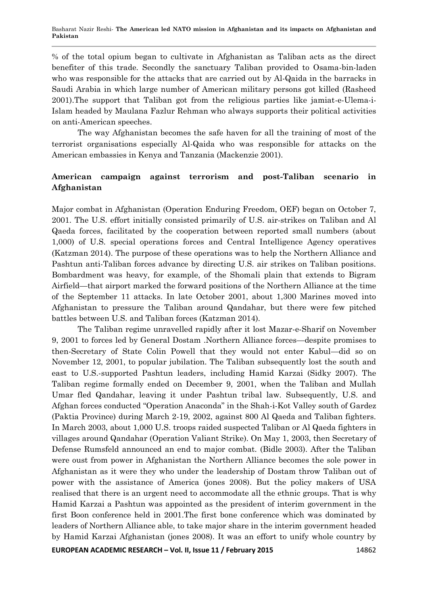% of the total opium began to cultivate in Afghanistan as Taliban acts as the direct benefiter of this trade. Secondly the sanctuary Taliban provided to Osama-bin-laden who was responsible for the attacks that are carried out by Al-Qaida in the barracks in Saudi Arabia in which large number of American military persons got killed (Rasheed 2001).The support that Taliban got from the religious parties like jamiat-e-Ulema-i-Islam headed by Maulana Fazlur Rehman who always supports their political activities on anti-American speeches.

The way Afghanistan becomes the safe haven for all the training of most of the terrorist organisations especially Al-Qaida who was responsible for attacks on the American embassies in Kenya and Tanzania (Mackenzie 2001).

# **American campaign against terrorism and post-Taliban scenario in Afghanistan**

Major combat in Afghanistan (Operation Enduring Freedom, OEF) began on October 7, 2001. The U.S. effort initially consisted primarily of U.S. air-strikes on Taliban and Al Qaeda forces, facilitated by the cooperation between reported small numbers (about 1,000) of U.S. special operations forces and Central Intelligence Agency operatives (Katzman 2014). The purpose of these operations was to help the Northern Alliance and Pashtun anti-Taliban forces advance by directing U.S. air strikes on Taliban positions. Bombardment was heavy, for example, of the Shomali plain that extends to Bigram Airfield—that airport marked the forward positions of the Northern Alliance at the time of the September 11 attacks. In late October 2001, about 1,300 Marines moved into Afghanistan to pressure the Taliban around Qandahar, but there were few pitched battles between U.S. and Taliban forces (Katzman 2014).

The Taliban regime unravelled rapidly after it lost Mazar-e-Sharif on November 9, 2001 to forces led by General Dostam .Northern Alliance forces—despite promises to then-Secretary of State Colin Powell that they would not enter Kabul—did so on November 12, 2001, to popular jubilation. The Taliban subsequently lost the south and east to U.S.-supported Pashtun leaders, including Hamid Karzai (Sidky 2007). The Taliban regime formally ended on December 9, 2001, when the Taliban and Mullah Umar fled Qandahar, leaving it under Pashtun tribal law. Subsequently, U.S. and Afghan forces conducted "Operation Anaconda" in the Shah-i-Kot Valley south of Gardez (Paktia Province) during March 2-19, 2002, against 800 Al Qaeda and Taliban fighters. In March 2003, about 1,000 U.S. troops raided suspected Taliban or Al Qaeda fighters in villages around Qandahar (Operation Valiant Strike). On May 1, 2003, then Secretary of Defense Rumsfeld announced an end to major combat. (Bidle 2003). After the Taliban were oust from power in Afghanistan the Northern Alliance becomes the sole power in Afghanistan as it were they who under the leadership of Dostam throw Taliban out of power with the assistance of America (jones 2008). But the policy makers of USA realised that there is an urgent need to accommodate all the ethnic groups. That is why Hamid Karzai a Pashtun was appointed as the president of interim government in the first Boon conference held in 2001.The first bone conference which was dominated by leaders of Northern Alliance able, to take major share in the interim government headed by Hamid Karzai Afghanistan (jones 2008). It was an effort to unify whole country by

**EUROPEAN ACADEMIC RESEARCH – Vol. II, Issue 11 / February 2015** 14862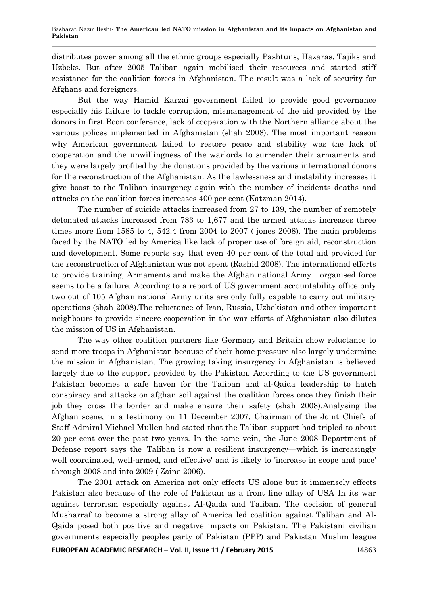distributes power among all the ethnic groups especially Pashtuns, Hazaras, Tajiks and Uzbeks. But after 2005 Taliban again mobilised their resources and started stiff resistance for the coalition forces in Afghanistan. The result was a lack of security for Afghans and foreigners.

But the way Hamid Karzai government failed to provide good governance especially his failure to tackle corruption, mismanagement of the aid provided by the donors in first Boon conference, lack of cooperation with the Northern alliance about the various polices implemented in Afghanistan (shah 2008). The most important reason why American government failed to restore peace and stability was the lack of cooperation and the unwillingness of the warlords to surrender their armaments and they were largely profited by the donations provided by the various international donors for the reconstruction of the Afghanistan. As the lawlessness and instability increases it give boost to the Taliban insurgency again with the number of incidents deaths and attacks on the coalition forces increases 400 per cent (Katzman 2014).

The number of suicide attacks increased from 27 to 139, the number of remotely detonated attacks increased from 783 to 1,677 and the armed attacks increases three times more from 1585 to 4, 542.4 from 2004 to 2007 ( jones 2008). The main problems faced by the NATO led by America like lack of proper use of foreign aid, reconstruction and development. Some reports say that even 40 per cent of the total aid provided for the reconstruction of Afghanistan was not spent (Rashid 2008). The international efforts to provide training, Armaments and make the Afghan national Army organised force seems to be a failure. According to a report of US government accountability office only two out of 105 Afghan national Army units are only fully capable to carry out military operations (shah 2008).The reluctance of Iran, Russia, Uzbekistan and other important neighbours to provide sincere cooperation in the war efforts of Afghanistan also dilutes the mission of US in Afghanistan.

The way other coalition partners like Germany and Britain show reluctance to send more troops in Afghanistan because of their home pressure also largely undermine the mission in Afghanistan. The growing taking insurgency in Afghanistan is believed largely due to the support provided by the Pakistan. According to the US government Pakistan becomes a safe haven for the Taliban and al-Qaida leadership to hatch conspiracy and attacks on afghan soil against the coalition forces once they finish their job they cross the border and make ensure their safety (shah 2008).Analysing the Afghan scene, in a testimony on 11 December 2007, Chairman of the Joint Chiefs of Staff Admiral Michael Mullen had stated that the Taliban support had tripled to about 20 per cent over the past two years. In the same vein, the June 2008 Department of Defense report says the 'Taliban is now a resilient insurgency—which is increasingly well coordinated, well-armed, and effective' and is likely to 'increase in scope and pace' through 2008 and into 2009 ( Zaine 2006).

The 2001 attack on America not only effects US alone but it immensely effects Pakistan also because of the role of Pakistan as a front line allay of USA In its war against terrorism especially against Al-Qaida and Taliban. The decision of general Musharraf to become a strong allay of America led coalition against Taliban and Al-Qaida posed both positive and negative impacts on Pakistan. The Pakistani civilian governments especially peoples party of Pakistan (PPP) and Pakistan Muslim league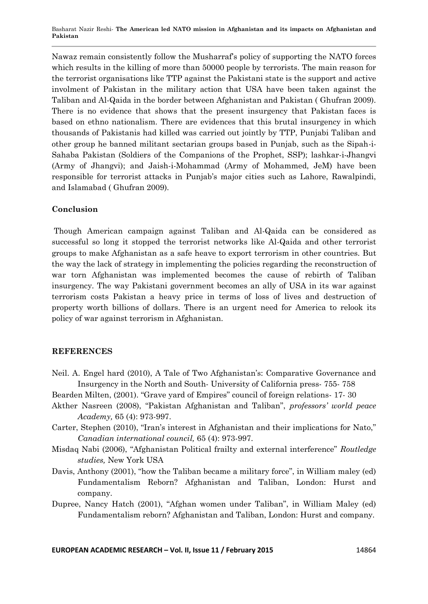Nawaz remain consistently follow the Musharraf's policy of supporting the NATO forces which results in the killing of more than 50000 people by terrorists. The main reason for the terrorist organisations like TTP against the Pakistani state is the support and active involment of Pakistan in the military action that USA have been taken against the Taliban and Al-Qaida in the border between Afghanistan and Pakistan ( Ghufran 2009). There is no evidence that shows that the present insurgency that Pakistan faces is based on ethno nationalism. There are evidences that this brutal insurgency in which thousands of Pakistanis had killed was carried out jointly by TTP, Punjabi Taliban and other group he banned militant sectarian groups based in Punjab, such as the Sipah-i-Sahaba Pakistan (Soldiers of the Companions of the Prophet, SSP); lashkar-i-Jhangvi (Army of Jhangvi); and Jaish-i-Mohammad (Army of Mohammed, JeM) have been responsible for terrorist attacks in Punjab's major cities such as Lahore, Rawalpindi, and Islamabad ( Ghufran 2009).

## **Conclusion**

Though American campaign against Taliban and Al-Qaida can be considered as successful so long it stopped the terrorist networks like Al-Qaida and other terrorist groups to make Afghanistan as a safe heave to export terrorism in other countries. But the way the lack of strategy in implementing the policies regarding the reconstruction of war torn Afghanistan was implemented becomes the cause of rebirth of Taliban insurgency. The way Pakistani government becomes an ally of USA in its war against terrorism costs Pakistan a heavy price in terms of loss of lives and destruction of property worth billions of dollars. There is an urgent need for America to relook its policy of war against terrorism in Afghanistan.

## **REFERENCES**

Neil. A. Engel hard (2010), A Tale of Two Afghanistan's: Comparative Governance and Insurgency in the North and South- University of California press- 755- 758

Bearden Milten, (2001). "Grave yard of Empires" council of foreign relations- 17-30

- Akther Nasreen (2008), ―Pakistan Afghanistan and Taliban‖, *professors' world peace Academy,* 65 (4): 973-997.
- Carter, Stephen (2010), "Iran's interest in Afghanistan and their implications for Nato," *Canadian international council,* 65 (4): 973-997.
- Misdaq Nabi (2006), ―Afghanistan Political frailty and external interference‖ *Routledge studies,* New York USA
- Davis, Anthony (2001), "how the Taliban became a military force", in William maley (ed) Fundamentalism Reborn? Afghanistan and Taliban, London: Hurst and company.
- Dupree, Nancy Hatch (2001), "Afghan women under Taliban", in William Maley (ed) Fundamentalism reborn? Afghanistan and Taliban, London: Hurst and company.